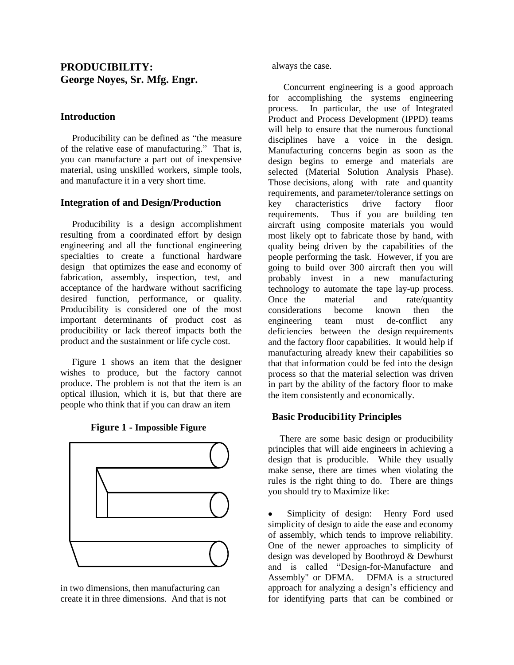# **PRODUCIBILITY: George Noyes, Sr. Mfg. Engr.**

### **Introduction**

 Producibility can be defined as "the measure of the relative ease of manufacturing." That is, you can manufacture a part out of inexpensive material, using unskilled workers, simple tools, and manufacture it in a very short time.

#### **Integration of and Design/Production**

 Producibility is a design accomplishment resulting from a coordinated effort by design engineering and all the functional engineering specialties to create a functional hardware design that optimizes the ease and economy of fabrication, assembly, inspection, test, and acceptance of the hardware without sacrificing desired function, performance, or quality. Producibility is considered one of the most important determinants of product cost as producibility or lack thereof impacts both the product and the sustainment or life cycle cost.

 Figure 1 shows an item that the designer wishes to produce, but the factory cannot produce. The problem is not that the item is an optical illusion, which it is, but that there are people who think that if you can draw an item





in two dimensions, then manufacturing can create it in three dimensions. And that is not always the case.

 Concurrent engineering is a good approach for accomplishing the systems engineering process. In particular, the use of Integrated Product and Process Development (IPPD) teams will help to ensure that the numerous functional disciplines have a voice in the design. Manufacturing concerns begin as soon as the design begins to emerge and materials are selected (Material Solution Analysis Phase). Those decisions, along with rate and quantity requirements, and parameter/tolerance settings on key characteristics drive factory floor requirements. Thus if you are building ten aircraft using composite materials you would most likely opt to fabricate those by hand, with quality being driven by the capabilities of the people performing the task. However, if you are going to build over 300 aircraft then you will probably invest in a new manufacturing technology to automate the tape lay-up process. Once the material and rate/quantity considerations become known then the engineering team must de-conflict any deficiencies between the design requirements and the factory floor capabilities. It would help if manufacturing already knew their capabilities so that that information could be fed into the design process so that the material selection was driven in part by the ability of the factory floor to make the item consistently and economically.

## **Basic Producibi1ity Principles**

 There are some basic design or producibility principles that will aide engineers in achieving a design that is producible. While they usually make sense, there are times when violating the rules is the right thing to do. There are things you should try to Maximize like:

Simplicity of design: Henry Ford used  $\bullet$ simplicity of design to aide the ease and economy of assembly, which tends to improve reliability. One of the newer approaches to simplicity of design was developed by Boothroyd & Dewhurst and is called "Design-for-Manufacture and Assembly" or DFMA. DFMA is a structured approach for analyzing a design's efficiency and for identifying parts that can be combined or